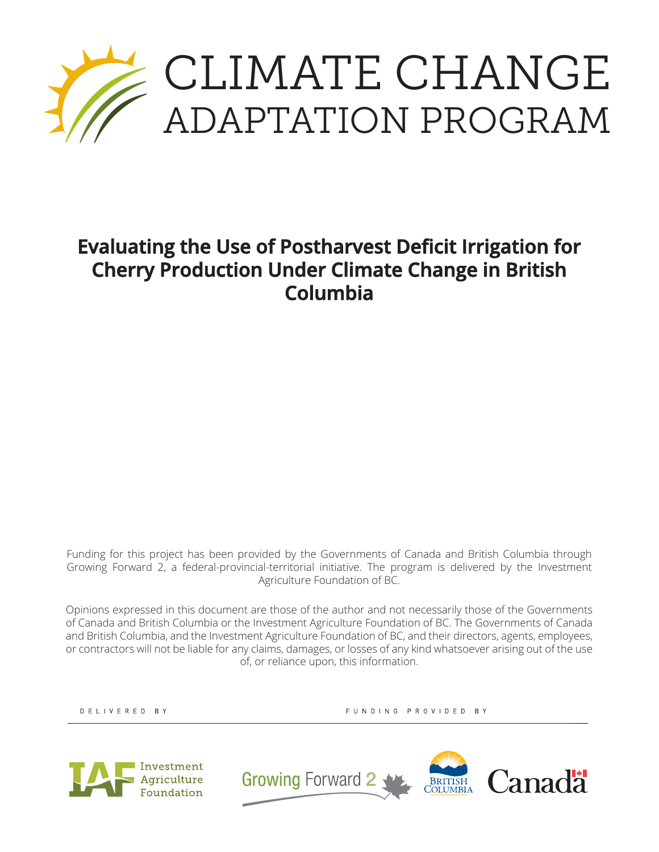

## **Evaluating the Use of Postharvest Deficit Irrigation for Cherry Production Under Climate Change in British Columbia**

Funding for this project has been provided by the Governments of Canada and British Columbia through Growing Forward 2, a federal-provincial-territorial initiative. The program is delivered by the Investment Agriculture Foundation of BC.

Opinions expressed in this document are those of the author and not necessarily those of the Governments of Canada and British Columbia or the Investment Agriculture Foundation of BC. The Governments of Canada and British Columbia, and the Investment Agriculture Foundation of BC, and their directors, agents, employees, or contractors will not be liable for any claims, damages, or losses of any kind whatsoever arising out of the use of, or reliance upon, this information.

DELIVERED BY

FUNDING PROVIDED BY



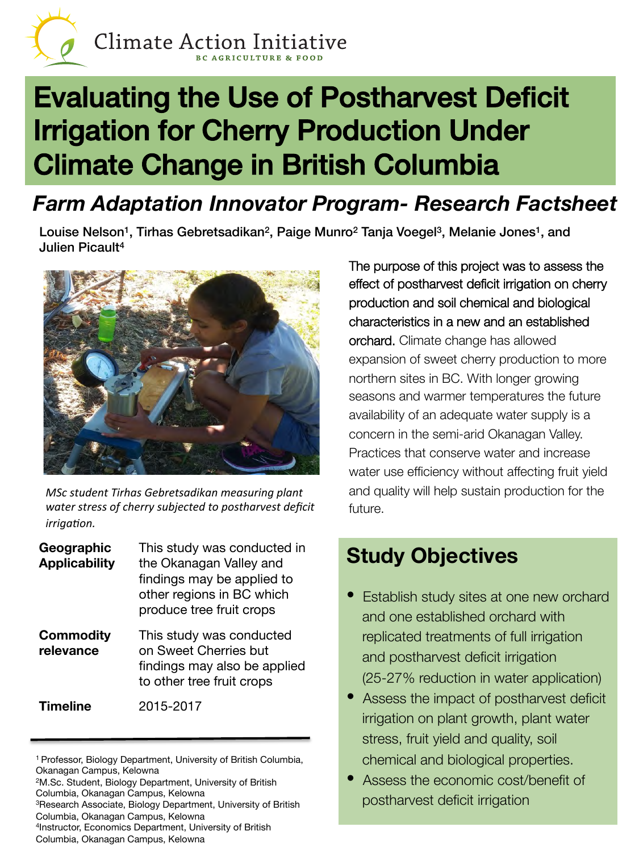

# Evaluating the Use of Postharvest Deficit Irrigation for Cherry Production Under Climate Change in British Columbia!

## *Farm Adaptation Innovator Program- Research Factsheet*

Louise Nelson<sup>1</sup>, Tirhas Gebretsadikan<sup>2</sup>, Paige Munro<sup>2</sup> Tanja Voegel<sup>3</sup>, Melanie Jones<sup>1</sup>, and Julien Picault4



*MSc student Tirhas Gebretsadikan measuring plant*  water stress of cherry subjected to postharvest deficit *irrigation.* 

| Geographic<br><b>Applicability</b> | This study was conducted in<br>the Okanagan Valley and<br>findings may be applied to<br>other regions in BC which<br>produce tree fruit crops |
|------------------------------------|-----------------------------------------------------------------------------------------------------------------------------------------------|
| <b>Commodity</b><br>relevance      | This study was conducted<br>on Sweet Cherries but<br>findings may also be applied<br>to other tree fruit crops                                |
| <b>Timeline</b>                    | 2015-2017                                                                                                                                     |

2M.Sc. Student, Biology Department, University of British Columbia, Okanagan Campus, Kelowna

3Research Associate, Biology Department, University of British Columbia, Okanagan Campus, Kelowna

4Instructor, Economics Department, University of British

Columbia, Okanagan Campus, Kelowna

The purpose of this project was to assess the effect of postharvest deficit irrigation on cherry production and soil chemical and biological characteristics in a new and an established orchard. Climate change has allowed expansion of sweet cherry production to more northern sites in BC. With longer growing seasons and warmer temperatures the future availability of an adequate water supply is a concern in the semi-arid Okanagan Valley. Practices that conserve water and increase water use efficiency without affecting fruit yield and quality will help sustain production for the future.

## **Study Objectives**

- **Establish study sites at one new orchard** and one established orchard with replicated treatments of full irrigation and postharvest deficit irrigation (25-27% reduction in water application)
- Assess the impact of postharvest deficit irrigation on plant growth, plant water stress, fruit yield and quality, soil chemical and biological properties.
- Assess the economic cost/benefit of postharvest deficit irrigation

<sup>1</sup> Professor, Biology Department, University of British Columbia, Okanagan Campus, Kelowna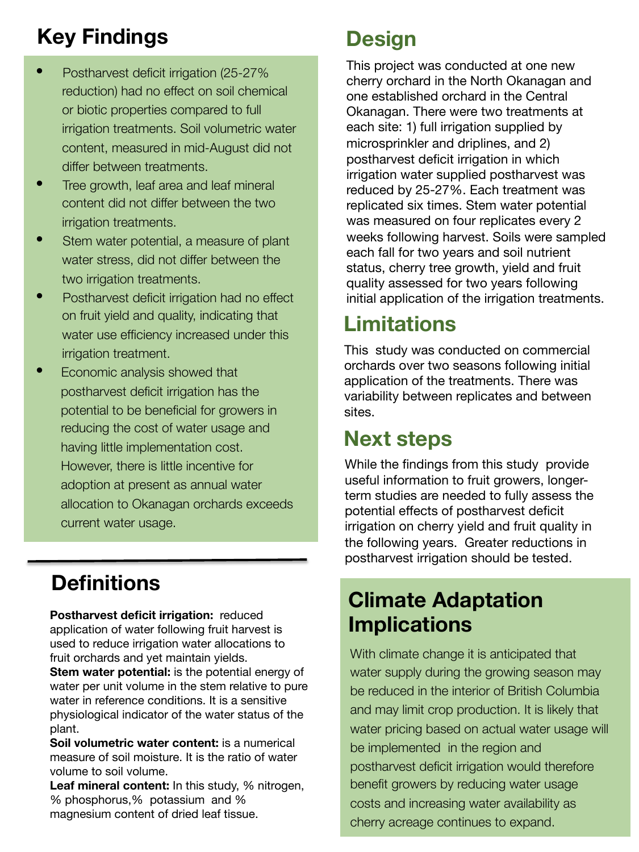## **Key Findings**

- Postharvest deficit irrigation (25-27% reduction) had no effect on soil chemical or biotic properties compared to full irrigation treatments. Soil volumetric water content, measured in mid-August did not differ between treatments.
- Tree growth, leaf area and leaf mineral content did not differ between the two irrigation treatments.
- Stem water potential, a measure of plant water stress, did not differ between the two irrigation treatments.
- Postharvest deficit irrigation had no effect on fruit yield and quality, indicating that water use efficiency increased under this irrigation treatment.
- Economic analysis showed that postharvest deficit irrigation has the potential to be beneficial for growers in reducing the cost of water usage and having little implementation cost. However, there is little incentive for adoption at present as annual water allocation to Okanagan orchards exceeds current water usage.

## **Definitions**

**Postharvest deficit irrigation:** reduced application of water following fruit harvest is used to reduce irrigation water allocations to fruit orchards and yet maintain yields.

**Stem water potential:** is the potential energy of water per unit volume in the stem relative to pure water in reference conditions. It is a sensitive physiological indicator of the water status of the plant.

**Soil volumetric water content:** is a numerical measure of soil moisture. It is the ratio of water volume to soil volume.

**Leaf mineral content:** In this study, % nitrogen, % phosphorus,% potassium and % magnesium content of dried leaf tissue.

## **Design**

This project was conducted at one new cherry orchard in the North Okanagan and one established orchard in the Central Okanagan. There were two treatments at each site: 1) full irrigation supplied by microsprinkler and driplines, and 2) postharvest deficit irrigation in which irrigation water supplied postharvest was reduced by 25-27%. Each treatment was replicated six times. Stem water potential was measured on four replicates every 2 weeks following harvest. Soils were sampled each fall for two years and soil nutrient status, cherry tree growth, yield and fruit quality assessed for two years following initial application of the irrigation treatments.

## **Limitations**

This study was conducted on commercial orchards over two seasons following initial application of the treatments. There was variability between replicates and between sites.

## **Next steps**

While the findings from this study provide useful information to fruit growers, longerterm studies are needed to fully assess the potential effects of postharvest deficit irrigation on cherry yield and fruit quality in the following years. Greater reductions in postharvest irrigation should be tested.

#### **Climate Adaptation Implications**

With climate change it is anticipated that water supply during the growing season may be reduced in the interior of British Columbia and may limit crop production. It is likely that water pricing based on actual water usage will be implemented in the region and postharvest deficit irrigation would therefore benefit growers by reducing water usage costs and increasing water availability as cherry acreage continues to expand.